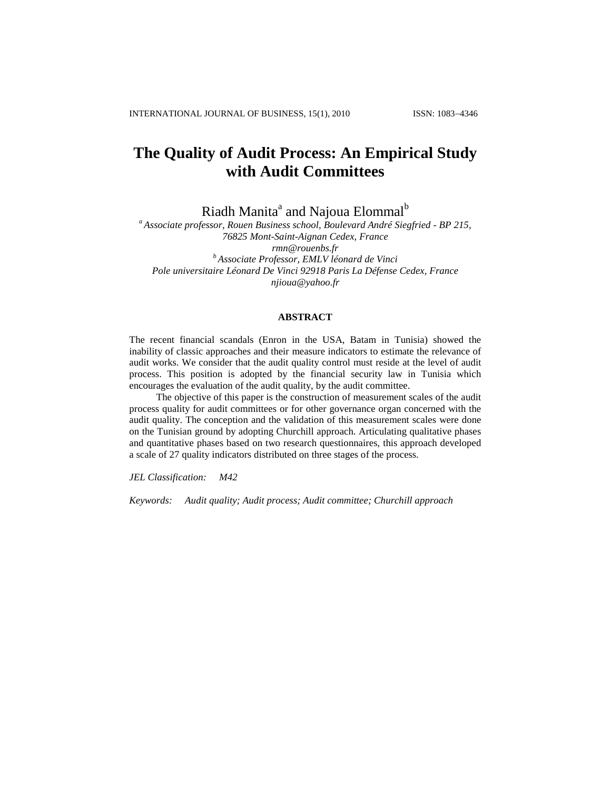# **The Quality of Audit Process: An Empirical Study with Audit Committees**

Riadh Manita<sup>a</sup> and Najoua Elommal<sup>b</sup>

*<sup>a</sup> Associate professor, Rouen Business school, Boulevard André Siegfried - BP 215, 76825 Mont-Saint-Aignan Cedex, France rmn@rouenbs.fr <sup>b</sup> Associate Professor, EMLV léonard de Vinci Pole universitaire Léonard De Vinci 92918 Paris La Défense Cedex, France njioua@yahoo.fr*

## **ABSTRACT**

The recent financial scandals (Enron in the USA, Batam in Tunisia) showed the inability of classic approaches and their measure indicators to estimate the relevance of audit works. We consider that the audit quality control must reside at the level of audit process. This position is adopted by the financial security law in Tunisia which encourages the evaluation of the audit quality, by the audit committee.

The objective of this paper is the construction of measurement scales of the audit process quality for audit committees or for other governance organ concerned with the audit quality. The conception and the validation of this measurement scales were done on the Tunisian ground by adopting Churchill approach. Articulating qualitative phases and quantitative phases based on two research questionnaires, this approach developed a scale of 27 quality indicators distributed on three stages of the process.

*JEL Classification: M42*

*Keywords: Audit quality; Audit process; Audit committee; Churchill approach*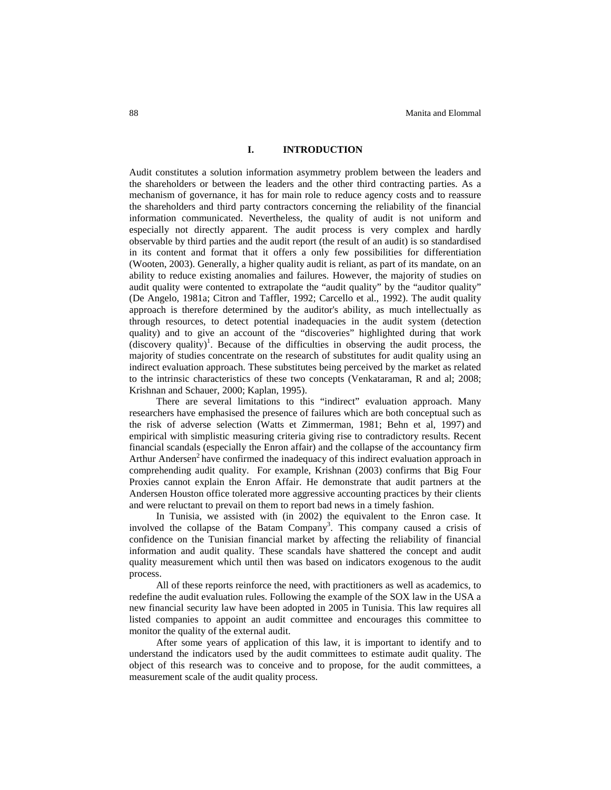# **I. INTRODUCTION**

Audit constitutes a solution information asymmetry problem between the leaders and the shareholders or between the leaders and the other third contracting parties. As a mechanism of governance, it has for main role to reduce agency costs and to reassure the shareholders and third party contractors concerning the reliability of the financial information communicated. Nevertheless, the quality of audit is not uniform and especially not directly apparent. The audit process is very complex and hardly observable by third parties and the audit report (the result of an audit) is so standardised in its content and format that it offers a only few possibilities for differentiation (Wooten, 2003). Generally, a higher quality audit is reliant, as part of its mandate, on an ability to reduce existing anomalies and failures. However, the majority of studies on audit quality were contented to extrapolate the "audit quality" by the "auditor quality" (De Angelo, 1981a; Citron and Taffler, 1992; Carcello et al., 1992). The audit quality approach is therefore determined by the auditor's ability, as much intellectually as through resources, to detect potential inadequacies in the audit system (detection quality) and to give an account of the "discoveries" highlighted during that work (discovery quality) 1 . Because of the difficulties in observing the audit process, the majority of studies concentrate on the research of substitutes for audit quality using an indirect evaluation approach. These substitutes being perceived by the market as related to the intrinsic characteristics of these two concepts (Venkataraman, R and al; 2008; Krishnan and Schauer, 2000; Kaplan, 1995).

There are several limitations to this "indirect" evaluation approach. Many researchers have emphasised the presence of failures which are both conceptual such as the risk of adverse selection (Watts et Zimmerman, 1981; Behn et al, 1997) and empirical with simplistic measuring criteria giving rise to contradictory results. Recent financial scandals (especially the Enron affair) and the collapse of the accountancy firm Arthur Andersen<sup>2</sup> have confirmed the inadequacy of this indirect evaluation approach in comprehending audit quality. For example, Krishnan (2003) confirms that Big Four Proxies cannot explain the Enron Affair. He demonstrate that audit partners at the Andersen Houston office tolerated more aggressive accounting practices by their clients and were reluctant to prevail on them to report bad news in a timely fashion.

In Tunisia, we assisted with (in 2002) the equivalent to the Enron case. It involved the collapse of the Batam Company<sup>3</sup>. This company caused a crisis of confidence on the Tunisian financial market by affecting the reliability of financial information and audit quality. These scandals have shattered the concept and audit quality measurement which until then was based on indicators exogenous to the audit process.

All of these reports reinforce the need, with practitioners as well as academics, to redefine the audit evaluation rules. Following the example of the SOX law in the USA a new financial security law have been adopted in 2005 in Tunisia. This law requires all listed companies to appoint an audit committee and encourages this committee to monitor the quality of the external audit.

After some years of application of this law, it is important to identify and to understand the indicators used by the audit committees to estimate audit quality. The object of this research was to conceive and to propose, for the audit committees, a measurement scale of the audit quality process.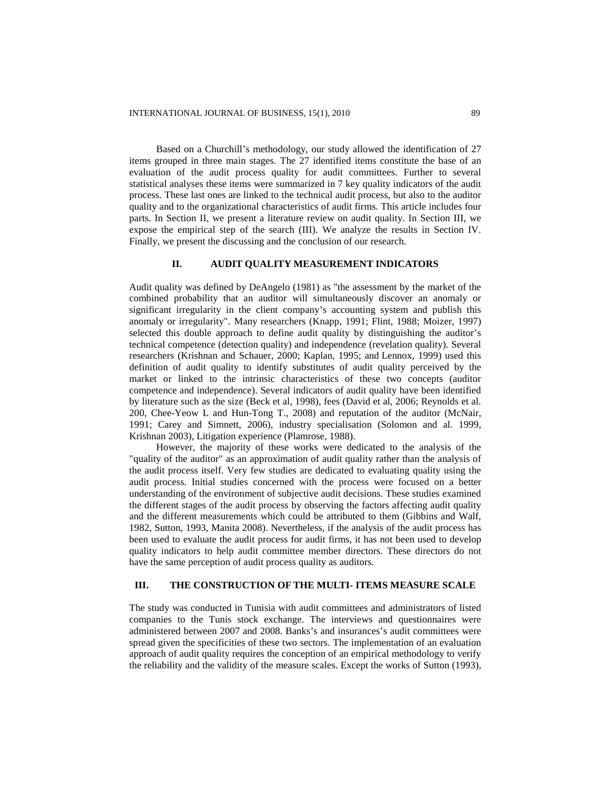Based on a Churchill's methodology, our study allowed the identification of 27 items grouped in three main stages. The 27 identified items constitute the base of an evaluation of the audit process quality for audit committees. Further to several statistical analyses these items were summarized in 7 key quality indicators of the audit process. These last ones are linked to the technical audit process, but also to the auditor quality and to the organizational characteristics of audit firms. This article includes four parts. In Section II, we present a literature review on audit quality. In Section III, we expose the empirical step of the search (III). We analyze the results in Section IV. Finally, we present the discussing and the conclusion of our research.

# **II. AUDIT QUALITY MEASUREMENT INDICATORS**

Audit quality was defined by DeAngelo (1981) as "the assessment by the market of the combined probability that an auditor will simultaneously discover an anomaly or significant irregularity in the client company's accounting system and publish this anomaly or irregularity". Many researchers (Knapp, 1991; Flint, 1988; Moizer, 1997) selected this double approach to define audit quality by distinguishing the auditor's technical competence (detection quality) and independence (revelation quality). Several researchers (Krishnan and Schauer, 2000; Kaplan, 1995; and Lennox, 1999) used this definition of audit quality to identify substitutes of audit quality perceived by the market or linked to the intrinsic characteristics of these two concepts (auditor competence and independence). Several indicators of audit quality have been identified by literature such as the size (Beck et al, 1998), fees (David et al, 2006; Reynolds et al. 200, Chee-Yeow L and Hun-Tong T., 2008) and reputation of the auditor (McNair, 1991; Carey and Simnett, 2006), industry specialisation (Solomon and al. 1999, Krishnan 2003), Litigation experience (Plamrose, 1988).

However, the majority of these works were dedicated to the analysis of the "quality of the auditor" as an approximation of audit quality rather than the analysis of the audit process itself. Very few studies are dedicated to evaluating quality using the audit process. Initial studies concerned with the process were focused on a better understanding of the environment of subjective audit decisions. These studies examined the different stages of the audit process by observing the factors affecting audit quality and the different measurements which could be attributed to them (Gibbins and Walf, 1982, Sutton, 1993, Manita 2008). Nevertheless, if the analysis of the audit process has been used to evaluate the audit process for audit firms, it has not been used to develop quality indicators to help audit committee member directors. These directors do not have the same perception of audit process quality as auditors.

# **III. THE CONSTRUCTION OF THE MULTI- ITEMS MEASURE SCALE**

The study was conducted in Tunisia with audit committees and administrators of listed companies to the Tunis stock exchange. The interviews and questionnaires were administered between 2007 and 2008. Banks's and insurances's audit committees were spread given the specificities of these two sectors. The implementation of an evaluation approach of audit quality requires the conception of an empirical methodology to verify the reliability and the validity of the measure scales. Except the works of Sutton (1993),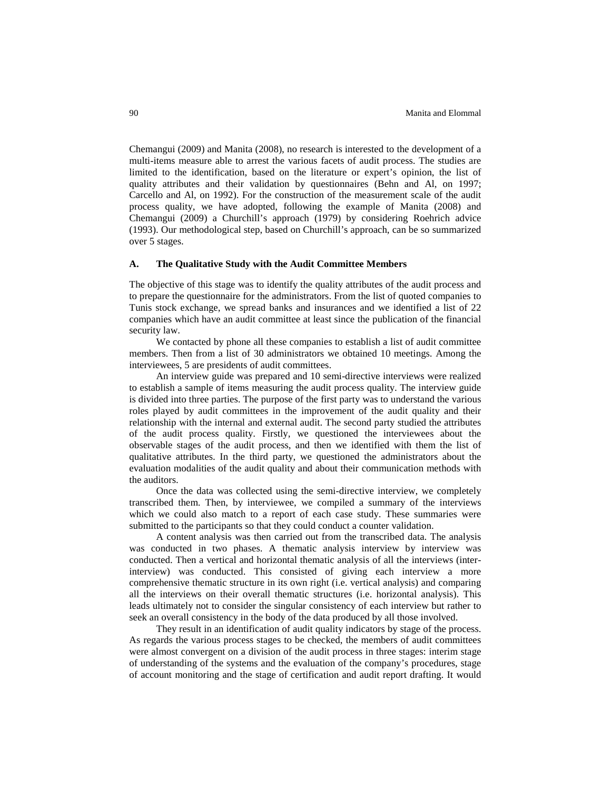Chemangui (2009) and Manita (2008), no research is interested to the development of a multi-items measure able to arrest the various facets of audit process. The studies are limited to the identification, based on the literature or expert's opinion, the list of quality attributes and their validation by questionnaires (Behn and Al, on 1997; Carcello and Al, on 1992). For the construction of the measurement scale of the audit process quality, we have adopted, following the example of Manita (2008) and Chemangui (2009) a Churchill's approach (1979) by considering Roehrich advice (1993). Our methodological step, based on Churchill's approach, can be so summarized over 5 stages.

# **A. The Qualitative Study with the Audit Committee Members**

The objective of this stage was to identify the quality attributes of the audit process and to prepare the questionnaire for the administrators. From the list of quoted companies to Tunis stock exchange, we spread banks and insurances and we identified a list of 22 companies which have an audit committee at least since the publication of the financial security law.

We contacted by phone all these companies to establish a list of audit committee members. Then from a list of 30 administrators we obtained 10 meetings. Among the interviewees, 5 are presidents of audit committees.

An interview guide was prepared and 10 semi-directive interviews were realized to establish a sample of items measuring the audit process quality. The interview guide is divided into three parties. The purpose of the first party was to understand the various roles played by audit committees in the improvement of the audit quality and their relationship with the internal and external audit. The second party studied the attributes of the audit process quality. Firstly, we questioned the interviewees about the observable stages of the audit process, and then we identified with them the list of qualitative attributes. In the third party, we questioned the administrators about the evaluation modalities of the audit quality and about their communication methods with the auditors.

Once the data was collected using the semi-directive interview, we completely transcribed them. Then, by interviewee, we compiled a summary of the interviews which we could also match to a report of each case study. These summaries were submitted to the participants so that they could conduct a counter validation.

A content analysis was then carried out from the transcribed data. The analysis was conducted in two phases. A thematic analysis interview by interview was conducted. Then a vertical and horizontal thematic analysis of all the interviews (interinterview) was conducted. This consisted of giving each interview a more comprehensive thematic structure in its own right (i.e. vertical analysis) and comparing all the interviews on their overall thematic structures (i.e. horizontal analysis). This leads ultimately not to consider the singular consistency of each interview but rather to seek an overall consistency in the body of the data produced by all those involved.

They result in an identification of audit quality indicators by stage of the process. As regards the various process stages to be checked, the members of audit committees were almost convergent on a division of the audit process in three stages: interim stage of understanding of the systems and the evaluation of the company's procedures, stage of account monitoring and the stage of certification and audit report drafting. It would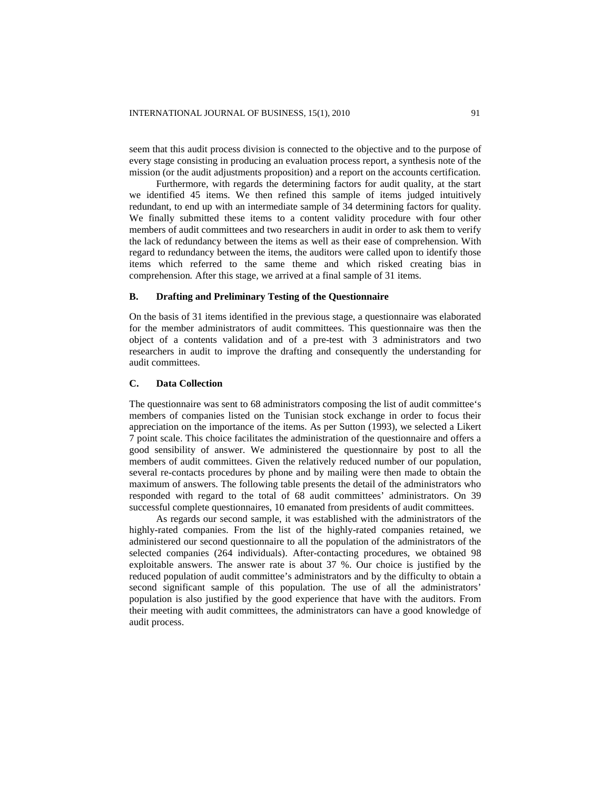seem that this audit process division is connected to the objective and to the purpose of every stage consisting in producing an evaluation process report, a synthesis note of the mission (or the audit adjustments proposition) and a report on the accounts certification.

Furthermore, with regards the determining factors for audit quality, at the start we identified 45 items. We then refined this sample of items judged intuitively redundant, to end up with an intermediate sample of 34 determining factors for quality. We finally submitted these items to a content validity procedure with four other members of audit committees and two researchers in audit in order to ask them to verify the lack of redundancy between the items as well as their ease of comprehension. With regard to redundancy between the items, the auditors were called upon to identify those items which referred to the same theme and which risked creating bias in comprehension*.* After this stage, we arrived at a final sample of 31 items.

## **B. Drafting and Preliminary Testing of the Questionnaire**

On the basis of 31 items identified in the previous stage, a questionnaire was elaborated for the member administrators of audit committees. This questionnaire was then the object of a contents validation and of a pre-test with 3 administrators and two researchers in audit to improve the drafting and consequently the understanding for audit committees.

# **C. Data Collection**

The questionnaire was sent to 68 administrators composing the list of audit committee's members of companies listed on the Tunisian stock exchange in order to focus their appreciation on the importance of the items. As per Sutton (1993), we selected a Likert 7 point scale. This choice facilitates the administration of the questionnaire and offers a good sensibility of answer. We administered the questionnaire by post to all the members of audit committees. Given the relatively reduced number of our population, several re-contacts procedures by phone and by mailing were then made to obtain the maximum of answers. The following table presents the detail of the administrators who responded with regard to the total of 68 audit committees' administrators. On 39 successful complete questionnaires, 10 emanated from presidents of audit committees.

As regards our second sample, it was established with the administrators of the highly-rated companies. From the list of the highly-rated companies retained, we administered our second questionnaire to all the population of the administrators of the selected companies (264 individuals). After-contacting procedures, we obtained 98 exploitable answers. The answer rate is about 37 %. Our choice is justified by the reduced population of audit committee's administrators and by the difficulty to obtain a second significant sample of this population. The use of all the administrators' population is also justified by the good experience that have with the auditors. From their meeting with audit committees, the administrators can have a good knowledge of audit process.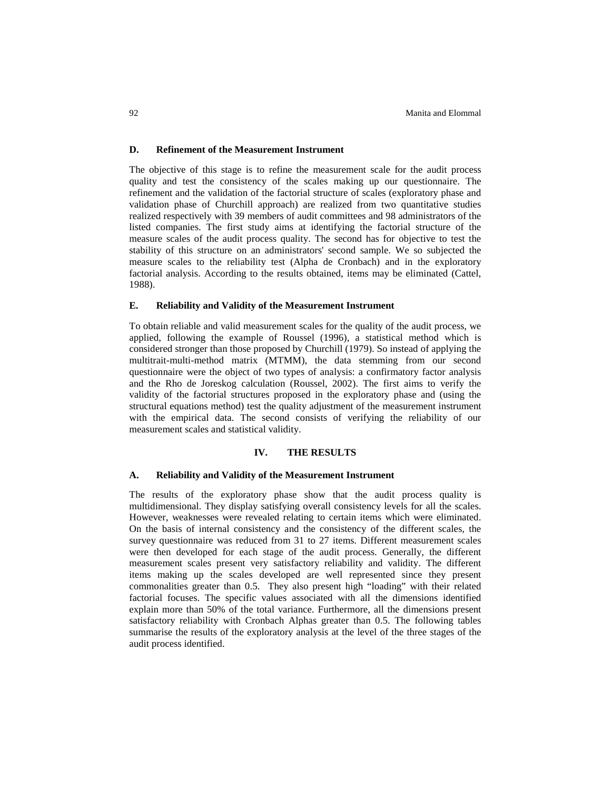## **D. Refinement of the Measurement Instrument**

The objective of this stage is to refine the measurement scale for the audit process quality and test the consistency of the scales making up our questionnaire. The refinement and the validation of the factorial structure of scales (exploratory phase and validation phase of Churchill approach) are realized from two quantitative studies realized respectively with 39 members of audit committees and 98 administrators of the listed companies. The first study aims at identifying the factorial structure of the measure scales of the audit process quality. The second has for objective to test the stability of this structure on an administrators' second sample. We so subjected the measure scales to the reliability test (Alpha de Cronbach) and in the exploratory factorial analysis. According to the results obtained, items may be eliminated (Cattel, 1988).

## **E. Reliability and Validity of the Measurement Instrument**

To obtain reliable and valid measurement scales for the quality of the audit process, we applied, following the example of Roussel (1996), a statistical method which is considered stronger than those proposed by Churchill (1979). So instead of applying the multitrait-multi-method matrix (MTMM), the data stemming from our second questionnaire were the object of two types of analysis: a confirmatory factor analysis and the Rho de Joreskog calculation (Roussel, 2002). The first aims to verify the validity of the factorial structures proposed in the exploratory phase and (using the structural equations method) test the quality adjustment of the measurement instrument with the empirical data. The second consists of verifying the reliability of our measurement scales and statistical validity.

#### **IV. THE RESULTS**

## **A. Reliability and Validity of the Measurement Instrument**

The results of the exploratory phase show that the audit process quality is multidimensional. They display satisfying overall consistency levels for all the scales. However, weaknesses were revealed relating to certain items which were eliminated. On the basis of internal consistency and the consistency of the different scales, the survey questionnaire was reduced from 31 to 27 items. Different measurement scales were then developed for each stage of the audit process. Generally, the different measurement scales present very satisfactory reliability and validity. The different items making up the scales developed are well represented since they present commonalities greater than 0.5. They also present high "loading" with their related factorial focuses. The specific values associated with all the dimensions identified explain more than 50% of the total variance. Furthermore, all the dimensions present satisfactory reliability with Cronbach Alphas greater than 0.5. The following tables summarise the results of the exploratory analysis at the level of the three stages of the audit process identified.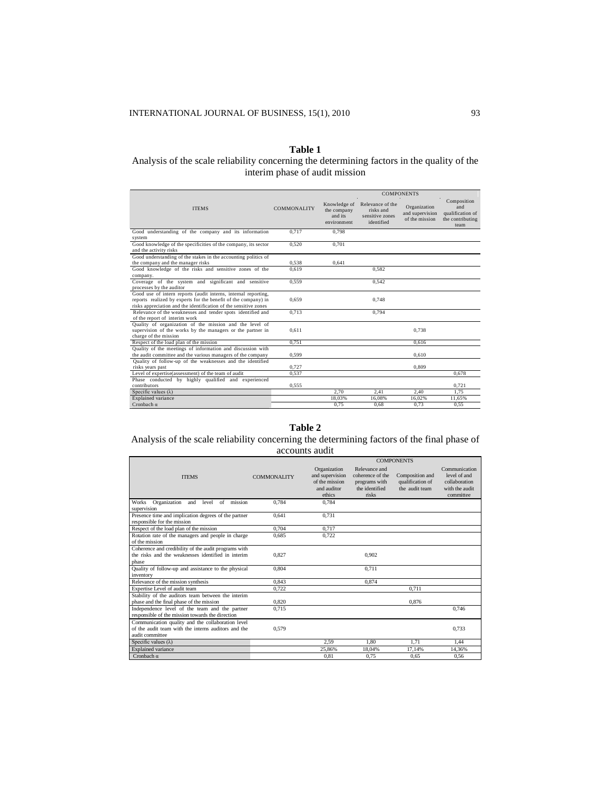# **Table 1**

# Analysis of the scale reliability concerning the determining factors in the quality of the interim phase of audit mission

|                                                                                          |                    | <b>COMPONENTS</b>                                     |                                                                |                                                   |                                                                    |
|------------------------------------------------------------------------------------------|--------------------|-------------------------------------------------------|----------------------------------------------------------------|---------------------------------------------------|--------------------------------------------------------------------|
| <b>ITEMS</b>                                                                             | <b>COMMONALITY</b> | Knowledge of<br>the company<br>and its<br>environment | Relevance of the<br>risks and<br>sensitive zones<br>identified | Organization<br>and supervision<br>of the mission | Composition<br>and<br>qualification of<br>the contributing<br>team |
| Good understanding of the company and its information                                    | 0.717              | 0.798                                                 |                                                                |                                                   |                                                                    |
| system                                                                                   |                    |                                                       |                                                                |                                                   |                                                                    |
| Good knowledge of the specificities of the company, its sector<br>and the activity risks | 0.520              | 0.701                                                 |                                                                |                                                   |                                                                    |
| Good understanding of the stakes in the accounting politics of                           |                    |                                                       |                                                                |                                                   |                                                                    |
| the company and the manager risks                                                        | 0.538              | 0.641                                                 |                                                                |                                                   |                                                                    |
| Good knowledge of the risks and sensitive zones of the                                   | 0.619              |                                                       | 0.582                                                          |                                                   |                                                                    |
| company.                                                                                 |                    |                                                       |                                                                |                                                   |                                                                    |
| Coverage of the system and significant and sensitive                                     | 0.559              |                                                       | 0.542                                                          |                                                   |                                                                    |
| processes by the auditor                                                                 |                    |                                                       |                                                                |                                                   |                                                                    |
| Good use of intern reports (audit interns, internal reporting,                           |                    |                                                       |                                                                |                                                   |                                                                    |
| reports realized by experts for the benefit of the company) in                           | 0.659              |                                                       | 0.748                                                          |                                                   |                                                                    |
| risks appreciation and the identification of the sensitive zones                         |                    |                                                       |                                                                |                                                   |                                                                    |
| Relevance of the weaknesses and tender spots identified and                              | 0.713              |                                                       | 0.794                                                          |                                                   |                                                                    |
| of the report of interim work                                                            |                    |                                                       |                                                                |                                                   |                                                                    |
| Quality of organization of the mission and the level of                                  |                    |                                                       |                                                                |                                                   |                                                                    |
| supervision of the works by the managers or the partner in                               | 0.611              |                                                       |                                                                | 0.738                                             |                                                                    |
| charge of the mission                                                                    |                    |                                                       |                                                                |                                                   |                                                                    |
| Respect of the load plan of the mission                                                  | 0.751              |                                                       |                                                                | 0.616                                             |                                                                    |
| Quality of the meetings of information and discussion with                               |                    |                                                       |                                                                |                                                   |                                                                    |
| the audit committee and the various managers of the company                              | 0.599              |                                                       |                                                                | 0.610                                             |                                                                    |
| Quality of follow-up of the weaknesses and the identified                                |                    |                                                       |                                                                |                                                   |                                                                    |
| risks vears past                                                                         | 0.727              |                                                       |                                                                | 0.809                                             |                                                                    |
| Level of expertise(assessment) of the team of audit                                      | 0.537              |                                                       |                                                                |                                                   | 0.678                                                              |
| Phase conducted by highly qualified and experienced                                      |                    |                                                       |                                                                |                                                   |                                                                    |
| contributors                                                                             | 0.555              |                                                       |                                                                |                                                   | 0.721                                                              |
| Specific values $(\lambda)$                                                              |                    | 2.70                                                  | 2.41                                                           | 2.40                                              | 1.75                                                               |
| Explained variance                                                                       |                    | 18.03%                                                | 16.08%                                                         | 16.02%                                            | 11.65%                                                             |
| Cronbach $\alpha$                                                                        |                    | 0.75                                                  | 0.68                                                           | 0,73                                              | 0.55                                                               |

# **Table 2**

# Analysis of the scale reliability concerning the determining factors of the final phase of accounts audit

|                                                        |                    | <b>COMPONENTS</b> |                  |                  |                |  |
|--------------------------------------------------------|--------------------|-------------------|------------------|------------------|----------------|--|
|                                                        |                    | Organization      | Relevance and    |                  | Communication  |  |
| <b>ITEMS</b>                                           | <b>COMMONALITY</b> | and supervision   | coherence of the | Composition and  | level of and   |  |
|                                                        |                    | of the mission    | programs with    | qualification of | collaboration  |  |
|                                                        |                    | and auditor       | the identified   | the audit team   | with the audit |  |
|                                                        |                    | ethics            | risks            |                  | committee      |  |
| Organization<br>mission<br>and<br>level<br>of<br>Works | 0.784              | 0.784             |                  |                  |                |  |
| supervision                                            |                    |                   |                  |                  |                |  |
| Presence time and implication degrees of the partner   | 0.641              | 0,731             |                  |                  |                |  |
| responsible for the mission                            |                    |                   |                  |                  |                |  |
| Respect of the load plan of the mission                | 0.704              | 0.717             |                  |                  |                |  |
| Rotation rate of the managers and people in charge     | 0.685              | 0.722             |                  |                  |                |  |
| of the mission                                         |                    |                   |                  |                  |                |  |
| Coherence and credibility of the audit programs with   |                    |                   |                  |                  |                |  |
| the risks and the weaknesses identified in interim     | 0.827              |                   | 0.902            |                  |                |  |
| phase                                                  |                    |                   |                  |                  |                |  |
| Quality of follow-up and assistance to the physical    | 0.804              |                   | 0.711            |                  |                |  |
| inventory                                              |                    |                   |                  |                  |                |  |
| Relevance of the mission synthesis                     | 0.843              |                   | 0.874            |                  |                |  |
| Expertise Level of audit team                          | 0.722              |                   |                  | 0.711            |                |  |
| Stability of the auditors team between the interim     |                    |                   |                  |                  |                |  |
| phase and the final phase of the mission               | 0.820              |                   |                  | 0.876            |                |  |
| Independence level of the team and the partner         | 0.715              |                   |                  |                  | 0.746          |  |
| responsible of the mission towards the direction       |                    |                   |                  |                  |                |  |
| Communication quality and the collaboration level      |                    |                   |                  |                  |                |  |
| of the audit team with the interns auditors and the    | 0.579              |                   |                  |                  | 0.733          |  |
| audit committee                                        |                    |                   |                  |                  |                |  |
| Specific values $(\lambda)$                            |                    | 2,59              | 1.80             | 1.71             | 1,44           |  |
| <b>Explained</b> variance                              |                    | 25.86%            | 18.04%           | 17.14%           | 14.36%         |  |
| Cronbach $\alpha$                                      |                    | 0.81              | 0.75             | 0.65             | 0.56           |  |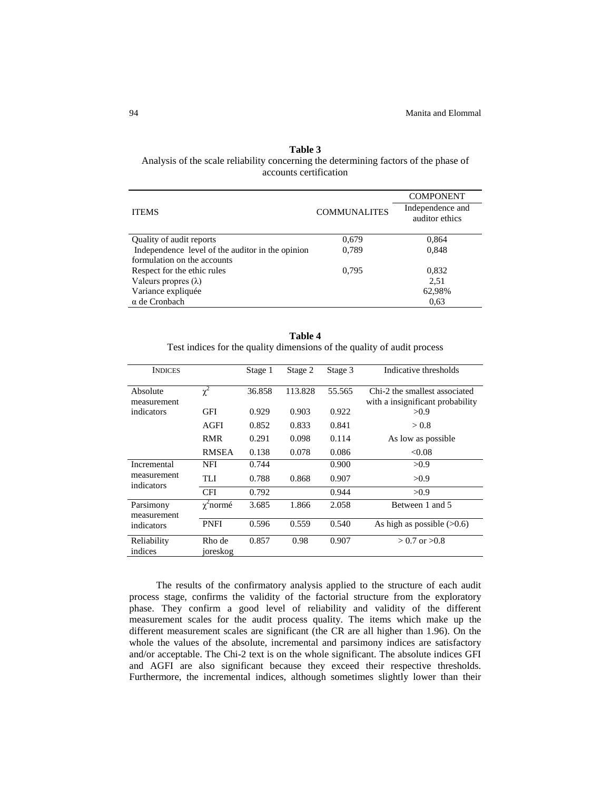# **Table 3** Analysis of the scale reliability concerning the determining factors of the phase of accounts certification

|                                                  |                     | <b>COMPONENT</b>                   |  |
|--------------------------------------------------|---------------------|------------------------------------|--|
| <b>ITEMS</b>                                     | <b>COMMUNALITES</b> | Independence and<br>auditor ethics |  |
| Quality of audit reports                         | 0,679               | 0,864                              |  |
| Independence level of the auditor in the opinion | 0,789               | 0,848                              |  |
| formulation on the accounts                      |                     |                                    |  |
| Respect for the ethic rules                      | 0.795               | 0,832                              |  |
| Valeurs propres $(\lambda)$                      |                     | 2.51                               |  |
| Variance expliquée                               |                     | 62,98%                             |  |
| $\alpha$ de Cronbach                             |                     | 0.63                               |  |

**Table 4** Test indices for the quality dimensions of the quality of audit process

| <b>INDICES</b>                         |                    | Stage 1 | Stage 2 | Stage 3 | Indicative thresholds                                             |
|----------------------------------------|--------------------|---------|---------|---------|-------------------------------------------------------------------|
| Absolute<br>measurement                | $\chi^2$           | 36.858  | 113.828 | 55.565  | Chi-2 the smallest associated<br>with a insignificant probability |
| indicators                             | GFI                | 0.929   | 0.903   | 0.922   | >0.9                                                              |
|                                        | AGFI               | 0.852   | 0.833   | 0.841   | > 0.8                                                             |
|                                        | <b>RMR</b>         | 0.291   | 0.098   | 0.114   | As low as possible.                                               |
|                                        | <b>RMSEA</b>       | 0.138   | 0.078   | 0.086   | < 0.08                                                            |
| Incremental                            | <b>NFI</b>         | 0.744   |         | 0.900   | >0.9                                                              |
| measurement<br>indicators              | TLI                | 0.788   | 0.868   | 0.907   | >0.9                                                              |
|                                        | <b>CFI</b>         | 0.792   |         | 0.944   | >0.9                                                              |
| Parsimony<br>measurement<br>indicators | $\chi^2$ normé     | 3.685   | 1.866   | 2.058   | Between 1 and 5                                                   |
|                                        | <b>PNFI</b>        | 0.596   | 0.559   | 0.540   | As high as possible $(>0.6)$                                      |
| Reliability<br>indices                 | Rho de<br>joreskog | 0.857   | 0.98    | 0.907   | $> 0.7$ or $> 0.8$                                                |

The results of the confirmatory analysis applied to the structure of each audit process stage, confirms the validity of the factorial structure from the exploratory phase. They confirm a good level of reliability and validity of the different measurement scales for the audit process quality. The items which make up the different measurement scales are significant (the CR are all higher than 1.96). On the whole the values of the absolute, incremental and parsimony indices are satisfactory and/or acceptable. The Chi-2 text is on the whole significant. The absolute indices GFI and AGFI are also significant because they exceed their respective thresholds. Furthermore, the incremental indices, although sometimes slightly lower than their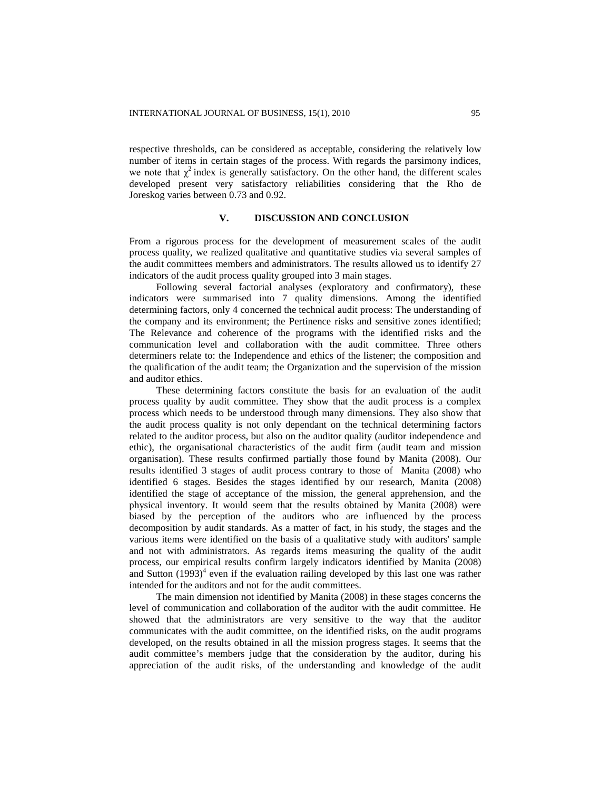respective thresholds, can be considered as acceptable, considering the relatively low number of items in certain stages of the process. With regards the parsimony indices, we note that  $\chi^2$  index is generally satisfactory. On the other hand, the different scales developed present very satisfactory reliabilities considering that the Rho de Joreskog varies between 0.73 and 0.92.

## **V. DISCUSSION AND CONCLUSION**

From a rigorous process for the development of measurement scales of the audit process quality, we realized qualitative and quantitative studies via several samples of the audit committees members and administrators. The results allowed us to identify 27 indicators of the audit process quality grouped into 3 main stages.

Following several factorial analyses (exploratory and confirmatory), these indicators were summarised into 7 quality dimensions. Among the identified determining factors, only 4 concerned the technical audit process: The understanding of the company and its environment; the Pertinence risks and sensitive zones identified; The Relevance and coherence of the programs with the identified risks and the communication level and collaboration with the audit committee. Three others determiners relate to: the Independence and ethics of the listener; the composition and the qualification of the audit team; the Organization and the supervision of the mission and auditor ethics.

These determining factors constitute the basis for an evaluation of the audit process quality by audit committee. They show that the audit process is a complex process which needs to be understood through many dimensions. They also show that the audit process quality is not only dependant on the technical determining factors related to the auditor process, but also on the auditor quality (auditor independence and ethic), the organisational characteristics of the audit firm (audit team and mission organisation). These results confirmed partially those found by Manita (2008). Our results identified 3 stages of audit process contrary to those of Manita (2008) who identified 6 stages. Besides the stages identified by our research, Manita (2008) identified the stage of acceptance of the mission, the general apprehension, and the physical inventory. It would seem that the results obtained by Manita (2008) were biased by the perception of the auditors who are influenced by the process decomposition by audit standards. As a matter of fact, in his study, the stages and the various items were identified on the basis of a qualitative study with auditors' sample and not with administrators. As regards items measuring the quality of the audit process, our empirical results confirm largely indicators identified by Manita (2008) and Sutton  $(1993)^4$  even if the evaluation railing developed by this last one was rather intended for the auditors and not for the audit committees.

The main dimension not identified by Manita (2008) in these stages concerns the level of communication and collaboration of the auditor with the audit committee. He showed that the administrators are very sensitive to the way that the auditor communicates with the audit committee, on the identified risks, on the audit programs developed, on the results obtained in all the mission progress stages. It seems that the audit committee's members judge that the consideration by the auditor, during his appreciation of the audit risks, of the understanding and knowledge of the audit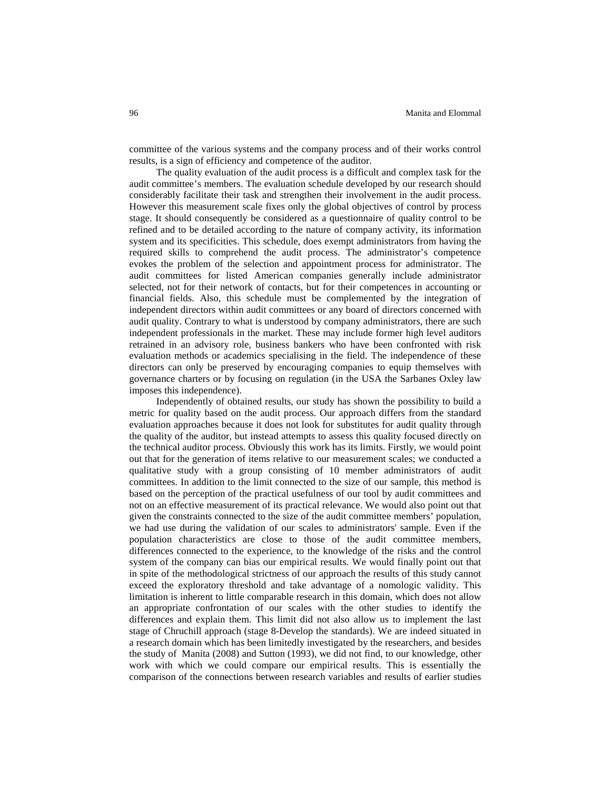committee of the various systems and the company process and of their works control results, is a sign of efficiency and competence of the auditor.

The quality evaluation of the audit process is a difficult and complex task for the audit committee's members. The evaluation schedule developed by our research should considerably facilitate their task and strengthen their involvement in the audit process. However this measurement scale fixes only the global objectives of control by process stage. It should consequently be considered as a questionnaire of quality control to be refined and to be detailed according to the nature of company activity, its information system and its specificities. This schedule, does exempt administrators from having the required skills to comprehend the audit process. The administrator's competence evokes the problem of the selection and appointment process for administrator. The audit committees for listed American companies generally include administrator selected, not for their network of contacts, but for their competences in accounting or financial fields. Also, this schedule must be complemented by the integration of independent directors within audit committees or any board of directors concerned with audit quality. Contrary to what is understood by company administrators, there are such independent professionals in the market. These may include former high level auditors retrained in an advisory role, business bankers who have been confronted with risk evaluation methods or academics specialising in the field. The independence of these directors can only be preserved by encouraging companies to equip themselves with governance charters or by focusing on regulation (in the USA the Sarbanes Oxley law imposes this independence).

Independently of obtained results, our study has shown the possibility to build a metric for quality based on the audit process. Our approach differs from the standard evaluation approaches because it does not look for substitutes for audit quality through the quality of the auditor, but instead attempts to assess this quality focused directly on the technical auditor process. Obviously this work has its limits. Firstly, we would point out that for the generation of items relative to our measurement scales; we conducted a qualitative study with a group consisting of 10 member administrators of audit committees. In addition to the limit connected to the size of our sample, this method is based on the perception of the practical usefulness of our tool by audit committees and not on an effective measurement of its practical relevance. We would also point out that given the constraints connected to the size of the audit committee members' population, we had use during the validation of our scales to administrators' sample. Even if the population characteristics are close to those of the audit committee members, differences connected to the experience, to the knowledge of the risks and the control system of the company can bias our empirical results. We would finally point out that in spite of the methodological strictness of our approach the results of this study cannot exceed the exploratory threshold and take advantage of a nomologic validity. This limitation is inherent to little comparable research in this domain, which does not allow an appropriate confrontation of our scales with the other studies to identify the differences and explain them. This limit did not also allow us to implement the last stage of Chruchill approach (stage 8-Develop the standards). We are indeed situated in a research domain which has been limitedly investigated by the researchers, and besides the study of Manita (2008) and Sutton (1993), we did not find, to our knowledge, other work with which we could compare our empirical results. This is essentially the comparison of the connections between research variables and results of earlier studies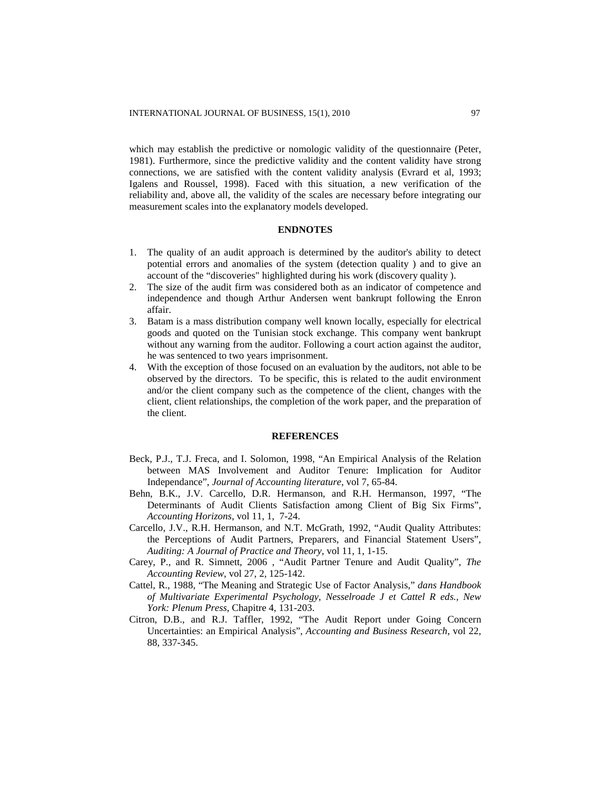which may establish the predictive or nomologic validity of the questionnaire (Peter, 1981). Furthermore, since the predictive validity and the content validity have strong connections, we are satisfied with the content validity analysis (Evrard et al, 1993; Igalens and Roussel, 1998). Faced with this situation, a new verification of the reliability and, above all, the validity of the scales are necessary before integrating our measurement scales into the explanatory models developed.

# **ENDNOTES**

- 1. The quality of an audit approach is determined by the auditor's ability to detect potential errors and anomalies of the system (detection quality ) and to give an account of the "discoveries" highlighted during his work (discovery quality ).
- 2. The size of the audit firm was considered both as an indicator of competence and independence and though Arthur Andersen went bankrupt following the Enron affair.
- 3. Batam is a mass distribution company well known locally, especially for electrical goods and quoted on the Tunisian stock exchange. This company went bankrupt without any warning from the auditor. Following a court action against the auditor, he was sentenced to two years imprisonment.
- 4. With the exception of those focused on an evaluation by the auditors, not able to be observed by the directors. To be specific, this is related to the audit environment and/or the client company such as the competence of the client, changes with the client, client relationships, the completion of the work paper, and the preparation of the client.

#### **REFERENCES**

- Beck, P.J., T.J. Freca, and I. Solomon, 1998, "An Empirical Analysis of the Relation between MAS Involvement and Auditor Tenure: Implication for Auditor Independance", *Journal of Accounting literature*, vol 7, 65-84.
- Behn, B.K., J.V. Carcello, D.R. Hermanson, and R.H. Hermanson, 1997, "The Determinants of Audit Clients Satisfaction among Client of Big Six Firms", *Accounting Horizons*, vol 11, 1, 7-24.
- Carcello, J.V., R.H. Hermanson, and N.T. McGrath, 1992, "Audit Quality Attributes: the Perceptions of Audit Partners, Preparers, and Financial Statement Users", *Auditing: A Journal of Practice and Theory*, vol 11, 1, 1-15.
- Carey, P., and R. Simnett, 2006 , "Audit Partner Tenure and Audit Quality", *The Accounting Review*, vol 27, 2, 125-142.
- Cattel, R., 1988, "The Meaning and Strategic Use of Factor Analysis," *dans Handbook of Multivariate Experimental Psychology, Nesselroade J et Cattel R eds., New York: Plenum Press*, Chapitre 4, 131-203.
- Citron, D.B., and R.J. Taffler, 1992, "The Audit Report under Going Concern Uncertainties: an Empirical Analysis", *Accounting and Business Research*, vol 22, 88, 337-345.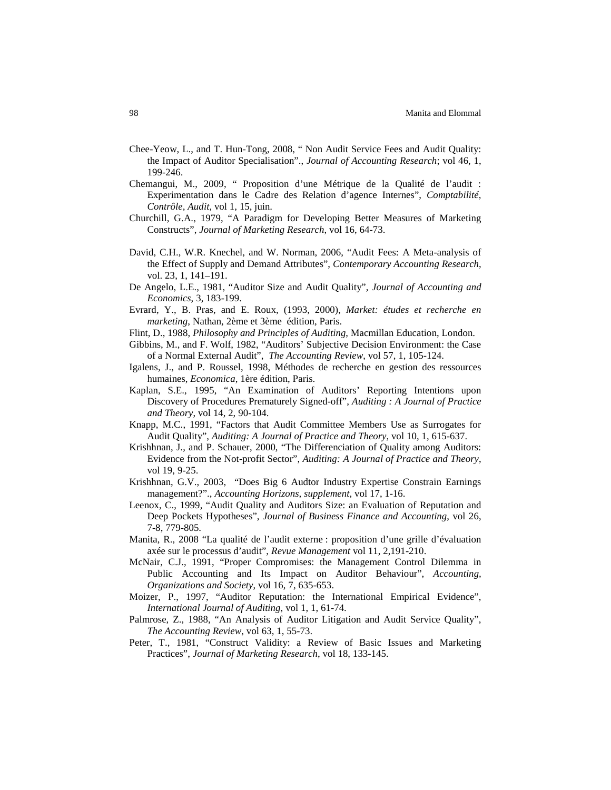- Chee-Yeow, L., and T. Hun-Tong, 2008, " Non Audit Service Fees and Audit Quality: the Impact of Auditor Specialisation"., *Journal of Accounting Research*; vol 46, 1, 199-246.
- Chemangui, M., 2009, " Proposition d'une Métrique de la Qualité de l'audit : Experimentation dans le Cadre des Relation d'agence Internes", *Comptabilité, Contrôle, Audit*, vol 1, 15, juin.
- Churchill, G.A., 1979, "A Paradigm for Developing Better Measures of Marketing Constructs", *Journal of Marketing Research*, vol 16, 64-73.
- David, C.H., W.R. Knechel, and W. Norman, 2006, "Audit Fees: A Meta-analysis of the Effect of Supply and Demand Attributes", *Contemporary Accounting Research*, vol. 23, 1, 141–191.
- De Angelo, L.E., 1981, "Auditor Size and Audit Quality", *Journal of Accounting and Economics*, 3, 183-199.
- Evrard, Y., B. Pras, and E. Roux, (1993, 2000), *Market: études et recherche en marketing*, Nathan, 2ème et 3ème édition, Paris.
- Flint, D., 1988, *Philosophy and Principles of Auditing*, Macmillan Education, London.
- Gibbins, M., and F. Wolf, 1982, "Auditors' Subjective Decision Environment: the Case of a Normal External Audit", *The Accounting Review*, vol 57, 1, 105-124.
- Igalens, J., and P. Roussel, 1998, Méthodes de recherche en gestion des ressources humaines, *Economica*, 1ère édition, Paris.
- Kaplan, S.E., 1995, "An Examination of Auditors' Reporting Intentions upon Discovery of Procedures Prematurely Signed-off", *Auditing : A Journal of Practice and Theory*, vol 14, 2, 90-104.
- Knapp, M.C., 1991, "Factors that Audit Committee Members Use as Surrogates for Audit Quality", *Auditing: A Journal of Practice and Theory*, vol 10, 1, 615-637.
- Krishhnan, J., and P. Schauer, 2000, "The Differenciation of Quality among Auditors: Evidence from the Not-profit Sector", *Auditing: A Journal of Practice and Theory*, vol 19, 9-25.
- Krishhnan, G.V., 2003, "Does Big 6 Audtor Industry Expertise Constrain Earnings management?"., *Accounting Horizons, supplement*, vol 17, 1-16.
- Leenox, C., 1999, "Audit Quality and Auditors Size: an Evaluation of Reputation and Deep Pockets Hypotheses", *Journal of Business Finance and Accounting*, vol 26, 7-8, 779-805.
- Manita, R., 2008 "La qualité de l'audit externe : proposition d'une grille d'évaluation axée sur le processus d'audit", *Revue Management* vol 11, 2,191-210.
- McNair, C.J., 1991, "Proper Compromises: the Management Control Dilemma in Public Accounting and Its Impact on Auditor Behaviour", *Accounting, Organizations and Society*, vol 16, 7, 635-653.
- Moizer, P., 1997, "Auditor Reputation: the International Empirical Evidence", *International Journal of Auditing*, vol 1, 1, 61-74.
- Palmrose, Z., 1988, "An Analysis of Auditor Litigation and Audit Service Quality", *The Accounting Review*, vol 63, 1, 55-73.
- Peter, T., 1981, "Construct Validity: a Review of Basic Issues and Marketing Practices", *Journal of Marketing Research*, vol 18, 133-145.